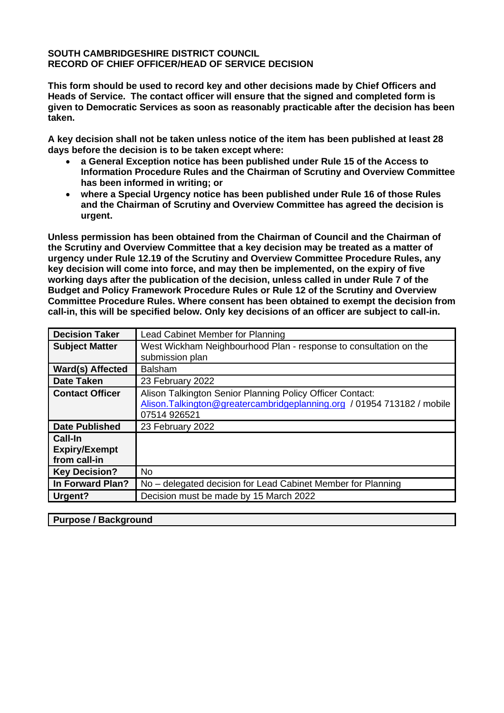### **SOUTH CAMBRIDGESHIRE DISTRICT COUNCIL RECORD OF CHIEF OFFICER/HEAD OF SERVICE DECISION**

**This form should be used to record key and other decisions made by Chief Officers and Heads of Service. The contact officer will ensure that the signed and completed form is given to Democratic Services as soon as reasonably practicable after the decision has been taken.** 

**A key decision shall not be taken unless notice of the item has been published at least 28 days before the decision is to be taken except where:**

- **a General Exception notice has been published under Rule 15 of the Access to Information Procedure Rules and the Chairman of Scrutiny and Overview Committee has been informed in writing; or**
- **where a Special Urgency notice has been published under Rule 16 of those Rules and the Chairman of Scrutiny and Overview Committee has agreed the decision is urgent.**

**Unless permission has been obtained from the Chairman of Council and the Chairman of the Scrutiny and Overview Committee that a key decision may be treated as a matter of urgency under Rule 12.19 of the Scrutiny and Overview Committee Procedure Rules, any key decision will come into force, and may then be implemented, on the expiry of five working days after the publication of the decision, unless called in under Rule 7 of the Budget and Policy Framework Procedure Rules or Rule 12 of the Scrutiny and Overview Committee Procedure Rules. Where consent has been obtained to exempt the decision from call-in, this will be specified below. Only key decisions of an officer are subject to call-in.**

| <b>Decision Taker</b>                                  | Lead Cabinet Member for Planning                                                                                                                     |  |  |
|--------------------------------------------------------|------------------------------------------------------------------------------------------------------------------------------------------------------|--|--|
| <b>Subject Matter</b>                                  | West Wickham Neighbourhood Plan - response to consultation on the                                                                                    |  |  |
|                                                        | submission plan                                                                                                                                      |  |  |
| Ward(s) Affected                                       | <b>Balsham</b>                                                                                                                                       |  |  |
| <b>Date Taken</b>                                      | 23 February 2022                                                                                                                                     |  |  |
| <b>Contact Officer</b>                                 | Alison Talkington Senior Planning Policy Officer Contact:<br>Alison. Talkington@greatercambridgeplanning.org / 01954 713182 / mobile<br>07514 926521 |  |  |
| <b>Date Published</b>                                  | 23 February 2022                                                                                                                                     |  |  |
| <b>Call-In</b><br><b>Expiry/Exempt</b><br>from call-in |                                                                                                                                                      |  |  |
| <b>Key Decision?</b>                                   | <b>No</b>                                                                                                                                            |  |  |
| In Forward Plan?                                       | No – delegated decision for Lead Cabinet Member for Planning                                                                                         |  |  |
| Urgent?                                                | Decision must be made by 15 March 2022                                                                                                               |  |  |

## **Purpose / Background**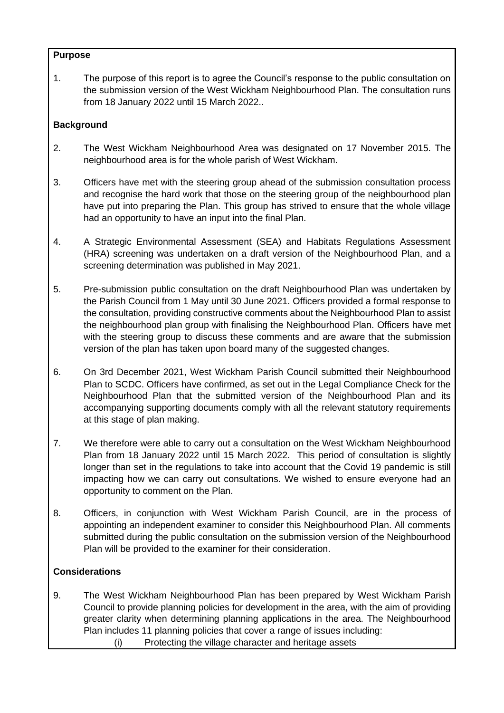### **Purpose**

1. The purpose of this report is to agree the Council's response to the public consultation on the submission version of the West Wickham Neighbourhood Plan. The consultation runs from 18 January 2022 until 15 March 2022..

# **Background**

- 2. The West Wickham Neighbourhood Area was designated on 17 November 2015. The neighbourhood area is for the whole parish of West Wickham.
- 3. Officers have met with the steering group ahead of the submission consultation process and recognise the hard work that those on the steering group of the neighbourhood plan have put into preparing the Plan. This group has strived to ensure that the whole village had an opportunity to have an input into the final Plan.
- 4. A Strategic Environmental Assessment (SEA) and Habitats Regulations Assessment (HRA) screening was undertaken on a draft version of the Neighbourhood Plan, and a screening determination was published in May 2021.
- 5. Pre-submission public consultation on the draft Neighbourhood Plan was undertaken by the Parish Council from 1 May until 30 June 2021. Officers provided a formal response to the consultation, providing constructive comments about the Neighbourhood Plan to assist the neighbourhood plan group with finalising the Neighbourhood Plan. Officers have met with the steering group to discuss these comments and are aware that the submission version of the plan has taken upon board many of the suggested changes.
- 6. On 3rd December 2021, West Wickham Parish Council submitted their Neighbourhood Plan to SCDC. Officers have confirmed, as set out in the Legal Compliance Check for the Neighbourhood Plan that the submitted version of the Neighbourhood Plan and its accompanying supporting documents comply with all the relevant statutory requirements at this stage of plan making.
- 7. We therefore were able to carry out a consultation on the West Wickham Neighbourhood Plan from 18 January 2022 until 15 March 2022. This period of consultation is slightly longer than set in the regulations to take into account that the Covid 19 pandemic is still impacting how we can carry out consultations. We wished to ensure everyone had an opportunity to comment on the Plan.
- 8. Officers, in conjunction with West Wickham Parish Council, are in the process of appointing an independent examiner to consider this Neighbourhood Plan. All comments submitted during the public consultation on the submission version of the Neighbourhood Plan will be provided to the examiner for their consideration.

# **Considerations**

- 9. The West Wickham Neighbourhood Plan has been prepared by West Wickham Parish Council to provide planning policies for development in the area, with the aim of providing greater clarity when determining planning applications in the area. The Neighbourhood Plan includes 11 planning policies that cover a range of issues including:
	- (i) Protecting the village character and heritage assets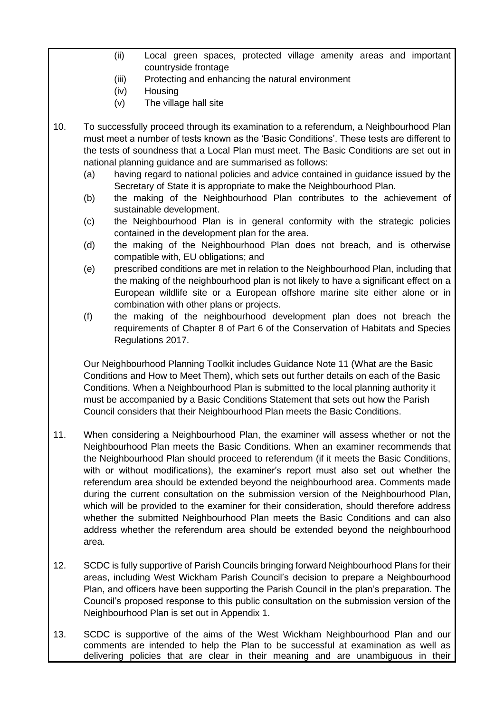- (ii) Local green spaces, protected village amenity areas and important countryside frontage
- (iii) Protecting and enhancing the natural environment
- (iv) Housing
- (v) The village hall site
- 10. To successfully proceed through its examination to a referendum, a Neighbourhood Plan must meet a number of tests known as the 'Basic Conditions'. These tests are different to the tests of soundness that a Local Plan must meet. The Basic Conditions are set out in national planning guidance and are summarised as follows:
	- (a) having regard to national policies and advice contained in guidance issued by the Secretary of State it is appropriate to make the Neighbourhood Plan.
	- (b) the making of the Neighbourhood Plan contributes to the achievement of sustainable development.
	- (c) the Neighbourhood Plan is in general conformity with the strategic policies contained in the development plan for the area.
	- (d) the making of the Neighbourhood Plan does not breach, and is otherwise compatible with, EU obligations; and
	- (e) prescribed conditions are met in relation to the Neighbourhood Plan, including that the making of the neighbourhood plan is not likely to have a significant effect on a European wildlife site or a European offshore marine site either alone or in combination with other plans or projects.
	- (f) the making of the neighbourhood development plan does not breach the requirements of Chapter 8 of Part 6 of the Conservation of Habitats and Species Regulations 2017.

Our Neighbourhood Planning Toolkit includes Guidance Note 11 (What are the Basic Conditions and How to Meet Them), which sets out further details on each of the Basic Conditions. When a Neighbourhood Plan is submitted to the local planning authority it must be accompanied by a Basic Conditions Statement that sets out how the Parish Council considers that their Neighbourhood Plan meets the Basic Conditions.

- 11. When considering a Neighbourhood Plan, the examiner will assess whether or not the Neighbourhood Plan meets the Basic Conditions. When an examiner recommends that the Neighbourhood Plan should proceed to referendum (if it meets the Basic Conditions, with or without modifications), the examiner's report must also set out whether the referendum area should be extended beyond the neighbourhood area. Comments made during the current consultation on the submission version of the Neighbourhood Plan, which will be provided to the examiner for their consideration, should therefore address whether the submitted Neighbourhood Plan meets the Basic Conditions and can also address whether the referendum area should be extended beyond the neighbourhood area.
- 12. SCDC is fully supportive of Parish Councils bringing forward Neighbourhood Plans for their areas, including West Wickham Parish Council's decision to prepare a Neighbourhood Plan, and officers have been supporting the Parish Council in the plan's preparation. The Council's proposed response to this public consultation on the submission version of the Neighbourhood Plan is set out in Appendix 1.
- 13. SCDC is supportive of the aims of the West Wickham Neighbourhood Plan and our comments are intended to help the Plan to be successful at examination as well as delivering policies that are clear in their meaning and are unambiguous in their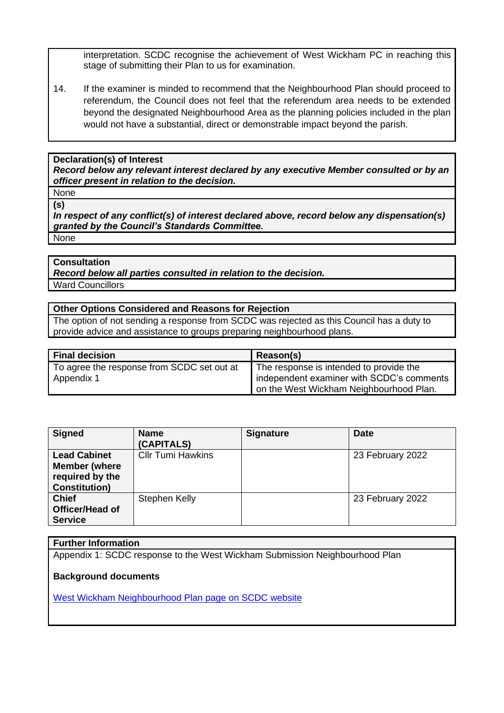interpretation. SCDC recognise the achievement of West Wickham PC in reaching this stage of submitting their Plan to us for examination.

14. If the examiner is minded to recommend that the Neighbourhood Plan should proceed to referendum, the Council does not feel that the referendum area needs to be extended beyond the designated Neighbourhood Area as the planning policies included in the plan would not have a substantial, direct or demonstrable impact beyond the parish.

#### **Declaration(s) of Interest**

*Record below any relevant interest declared by any executive Member consulted or by an officer present in relation to the decision.*

None **(s)**

*In respect of any conflict(s) of interest declared above, record below any dispensation(s) granted by the Council's Standards Committee.* None

### **Consultation**

*Record below all parties consulted in relation to the decision.*

Ward Councillors

#### **Other Options Considered and Reasons for Rejection**

The option of not sending a response from SCDC was rejected as this Council has a duty to provide advice and assistance to groups preparing neighbourhood plans.

| Final decision                             | Reason(s)                                 |  |
|--------------------------------------------|-------------------------------------------|--|
| To agree the response from SCDC set out at | The response is intended to provide the   |  |
| Appendix 1                                 | independent examiner with SCDC's comments |  |
|                                            | on the West Wickham Neighbourhood Plan.   |  |

| <b>Signed</b>                                                                          | <b>Name</b><br>(CAPITALS) | <b>Signature</b> | <b>Date</b>      |
|----------------------------------------------------------------------------------------|---------------------------|------------------|------------------|
| <b>Lead Cabinet</b><br><b>Member (where</b><br>required by the<br><b>Constitution)</b> | <b>CIIr Tumi Hawkins</b>  |                  | 23 February 2022 |
| <b>Chief</b><br>Officer/Head of<br><b>Service</b>                                      | Stephen Kelly             |                  | 23 February 2022 |

# **Further Information**

Appendix 1: SCDC response to the West Wickham Submission Neighbourhood Plan

### **Background documents**

[West Wickham Neighbourhood Plan page on SCDC website](https://www.scambs.gov.uk/planning/local-plan-and-neighbourhood-planning/west-wickham-neighbourhood-plan/)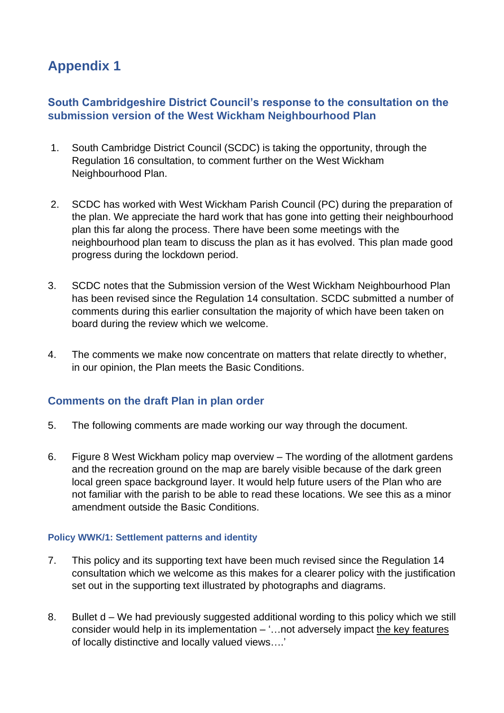# **Appendix 1**

# **South Cambridgeshire District Council's response to the consultation on the submission version of the West Wickham Neighbourhood Plan**

- 1. South Cambridge District Council (SCDC) is taking the opportunity, through the Regulation 16 consultation, to comment further on the West Wickham Neighbourhood Plan.
- 2. SCDC has worked with West Wickham Parish Council (PC) during the preparation of the plan. We appreciate the hard work that has gone into getting their neighbourhood plan this far along the process. There have been some meetings with the neighbourhood plan team to discuss the plan as it has evolved. This plan made good progress during the lockdown period.
- 3. SCDC notes that the Submission version of the West Wickham Neighbourhood Plan has been revised since the Regulation 14 consultation. SCDC submitted a number of comments during this earlier consultation the majority of which have been taken on board during the review which we welcome.
- 4. The comments we make now concentrate on matters that relate directly to whether, in our opinion, the Plan meets the Basic Conditions.

# **Comments on the draft Plan in plan order**

- 5. The following comments are made working our way through the document.
- 6. Figure 8 West Wickham policy map overview The wording of the allotment gardens and the recreation ground on the map are barely visible because of the dark green local green space background layer. It would help future users of the Plan who are not familiar with the parish to be able to read these locations. We see this as a minor amendment outside the Basic Conditions.

# **Policy WWK/1: Settlement patterns and identity**

- 7. This policy and its supporting text have been much revised since the Regulation 14 consultation which we welcome as this makes for a clearer policy with the justification set out in the supporting text illustrated by photographs and diagrams.
- 8. Bullet d We had previously suggested additional wording to this policy which we still consider would help in its implementation  $-$  "... not adversely impact the key features of locally distinctive and locally valued views….'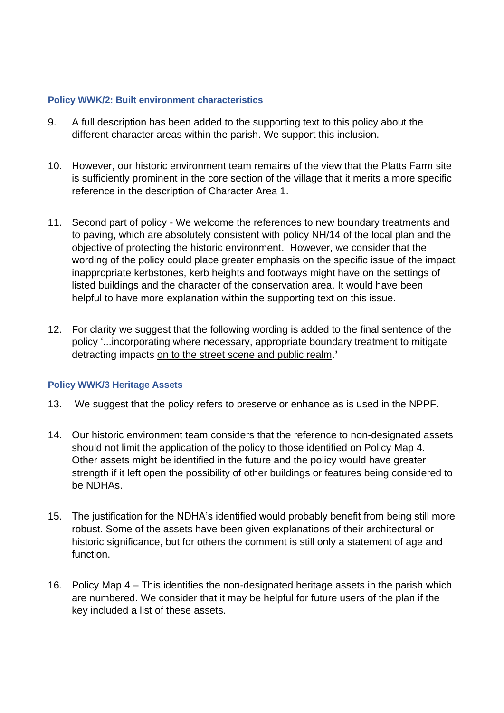### **Policy WWK/2: Built environment characteristics**

- 9. A full description has been added to the supporting text to this policy about the different character areas within the parish. We support this inclusion.
- 10. However, our historic environment team remains of the view that the Platts Farm site is sufficiently prominent in the core section of the village that it merits a more specific reference in the description of Character Area 1.
- 11. Second part of policy We welcome the references to new boundary treatments and to paving, which are absolutely consistent with policy NH/14 of the local plan and the objective of protecting the historic environment. However, we consider that the wording of the policy could place greater emphasis on the specific issue of the impact inappropriate kerbstones, kerb heights and footways might have on the settings of listed buildings and the character of the conservation area. It would have been helpful to have more explanation within the supporting text on this issue.
- 12. For clarity we suggest that the following wording is added to the final sentence of the policy '...incorporating where necessary, appropriate boundary treatment to mitigate detracting impacts on to the street scene and public realm**.'**

## **Policy WWK/3 Heritage Assets**

- 13. We suggest that the policy refers to preserve or enhance as is used in the NPPF.
- 14. Our historic environment team considers that the reference to non-designated assets should not limit the application of the policy to those identified on Policy Map 4. Other assets might be identified in the future and the policy would have greater strength if it left open the possibility of other buildings or features being considered to be NDHAs.
- 15. The justification for the NDHA's identified would probably benefit from being still more robust. Some of the assets have been given explanations of their architectural or historic significance, but for others the comment is still only a statement of age and function.
- 16. Policy Map 4 This identifies the non-designated heritage assets in the parish which are numbered. We consider that it may be helpful for future users of the plan if the key included a list of these assets.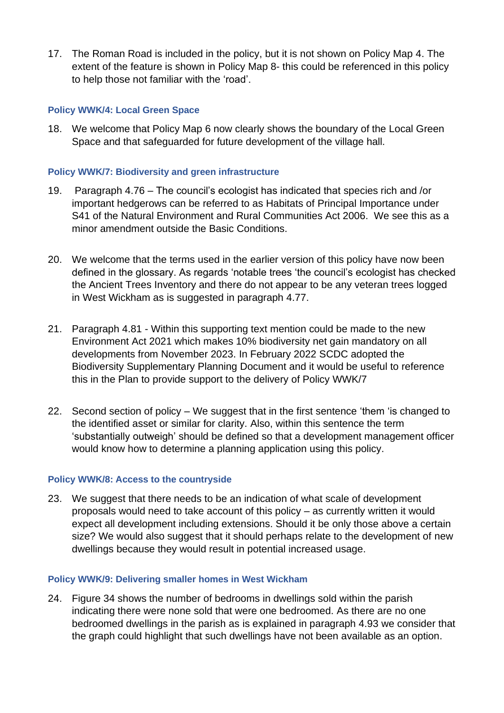17. The Roman Road is included in the policy, but it is not shown on Policy Map 4. The extent of the feature is shown in Policy Map 8- this could be referenced in this policy to help those not familiar with the 'road'.

### **Policy WWK/4: Local Green Space**

18. We welcome that Policy Map 6 now clearly shows the boundary of the Local Green Space and that safeguarded for future development of the village hall.

### **Policy WWK/7: Biodiversity and green infrastructure**

- 19. Paragraph 4.76 The council's ecologist has indicated that species rich and /or important hedgerows can be referred to as Habitats of Principal Importance under S41 of the Natural Environment and Rural Communities Act 2006. We see this as a minor amendment outside the Basic Conditions.
- 20. We welcome that the terms used in the earlier version of this policy have now been defined in the glossary. As regards 'notable trees 'the council's ecologist has checked the Ancient Trees Inventory and there do not appear to be any veteran trees logged in West Wickham as is suggested in paragraph 4.77.
- 21. Paragraph 4.81 Within this supporting text mention could be made to the new Environment Act 2021 which makes 10% biodiversity net gain mandatory on all developments from November 2023. In February 2022 SCDC adopted the Biodiversity Supplementary Planning Document and it would be useful to reference this in the Plan to provide support to the delivery of Policy WWK/7
- 22. Second section of policy We suggest that in the first sentence 'them 'is changed to the identified asset or similar for clarity. Also, within this sentence the term 'substantially outweigh' should be defined so that a development management officer would know how to determine a planning application using this policy.

### **Policy WWK/8: Access to the countryside**

23. We suggest that there needs to be an indication of what scale of development proposals would need to take account of this policy – as currently written it would expect all development including extensions. Should it be only those above a certain size? We would also suggest that it should perhaps relate to the development of new dwellings because they would result in potential increased usage.

### **Policy WWK/9: Delivering smaller homes in West Wickham**

24. Figure 34 shows the number of bedrooms in dwellings sold within the parish indicating there were none sold that were one bedroomed. As there are no one bedroomed dwellings in the parish as is explained in paragraph 4.93 we consider that the graph could highlight that such dwellings have not been available as an option.